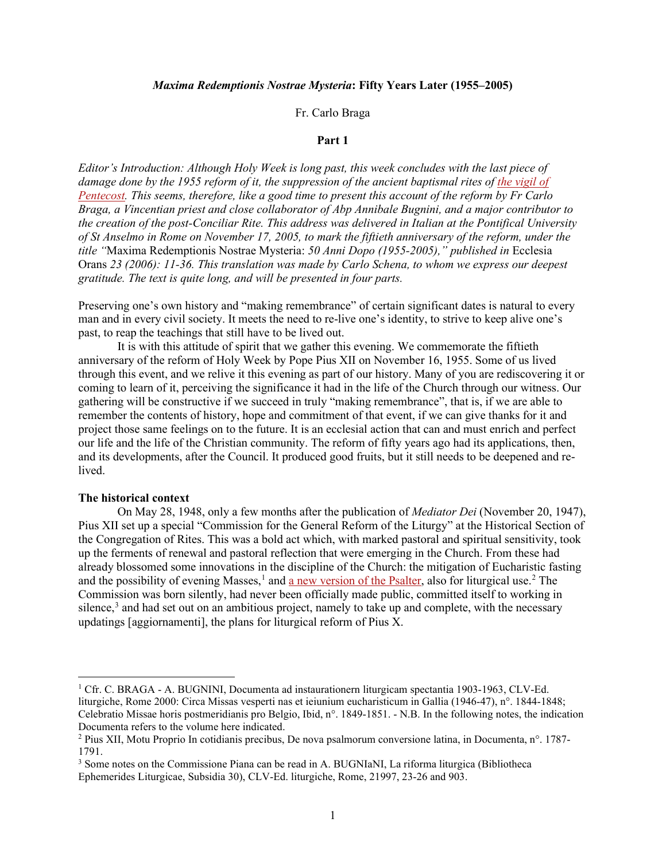# *Maxima Redemptionis Nostrae Mysteria***: Fifty Years Later (1955–2005)**

# Fr. Carlo Braga

# **Part 1**

*Editor's Introduction: Although Holy Week is long past, this week concludes with the last piece of damage done by the 1955 reform of it, the suppression of the ancient baptismal rites of [the vigil of](https://www.newliturgicalmovement.org/2009/04/2009-compendium-of-1955-holy-week.html)  [Pentecost.](https://www.newliturgicalmovement.org/2009/04/2009-compendium-of-1955-holy-week.html) This seems, therefore, like a good time to present this account of the reform by Fr Carlo Braga, a Vincentian priest and close collaborator of Abp Annibale Bugnini, and a major contributor to the creation of the post-Conciliar Rite. This address was delivered in Italian at the Pontifical University of St Anselmo in Rome on November 17, 2005, to mark the fiftieth anniversary of the reform, under the title "*Maxima Redemptionis Nostrae Mysteria: *50 Anni Dopo (1955-2005)," published in* Ecclesia Orans *23 (2006): 11-36. This translation was made by Carlo Schena, to whom we express our deepest gratitude. The text is quite long, and will be presented in four parts.*

Preserving one's own history and "making remembrance" of certain significant dates is natural to every man and in every civil society. It meets the need to re-live one's identity, to strive to keep alive one's past, to reap the teachings that still have to be lived out.

It is with this attitude of spirit that we gather this evening. We commemorate the fiftieth anniversary of the reform of Holy Week by Pope Pius XII on November 16, 1955. Some of us lived through this event, and we relive it this evening as part of our history. Many of you are rediscovering it or coming to learn of it, perceiving the significance it had in the life of the Church through our witness. Our gathering will be constructive if we succeed in truly "making remembrance", that is, if we are able to remember the contents of history, hope and commitment of that event, if we can give thanks for it and project those same feelings on to the future. It is an ecclesial action that can and must enrich and perfect our life and the life of the Christian community. The reform of fifty years ago had its applications, then, and its developments, after the Council. It produced good fruits, but it still needs to be deepened and relived.

# **The historical context**

On May 28, 1948, only a few months after the publication of *Mediator Dei* (November 20, 1947), Pius XII set up a special "Commission for the General Reform of the Liturgy" at the Historical Section of the Congregation of Rites. This was a bold act which, with marked pastoral and spiritual sensitivity, took up the ferments of renewal and pastoral reflection that were emerging in the Church. From these had already blossomed some innovations in the discipline of the Church: the mitigation of Eucharistic fasting and the possibility of evening Masses,<sup>[1](#page-0-0)</sup> and [a new version of the Psalter,](https://www.newliturgicalmovement.org/2010/10/compendium-of-reforms-of-roman-breviary_21.html) also for liturgical use.<sup>[2](#page-0-1)</sup> The Commission was born silently, had never been officially made public, committed itself to working in silence,<sup>[3](#page-0-2)</sup> and had set out on an ambitious project, namely to take up and complete, with the necessary updatings [aggiornamenti], the plans for liturgical reform of Pius X.

<span id="page-0-0"></span><sup>&</sup>lt;sup>1</sup> Cfr. C. BRAGA - A. BUGNINI, Documenta ad instaurationern liturgicam spectantia 1903-1963, CLV-Ed. liturgiche, Rome 2000: Circa Missas vesperti nas et ieiunium eucharisticum in Gallia (1946-47), n°. 1844-1848; Celebratio Missae horis postmeridianis pro Belgio, Ibid, n°. 1849-1851. - N.B. In the following notes, the indication Documenta refers to the volume here indicated.

<span id="page-0-1"></span><sup>2</sup> Pius XII, Motu Proprio In cotidianis precibus, De nova psalmorum conversione latina, in Documenta, n°. 1787- 1791.

<span id="page-0-2"></span><sup>&</sup>lt;sup>3</sup> Some notes on the Commissione Piana can be read in A. BUGNIaNI, La riforma liturgica (Bibliotheca Ephemerides Liturgicae, Subsidia 30), CLV-Ed. liturgiche, Rome, 21997, 23-26 and 903.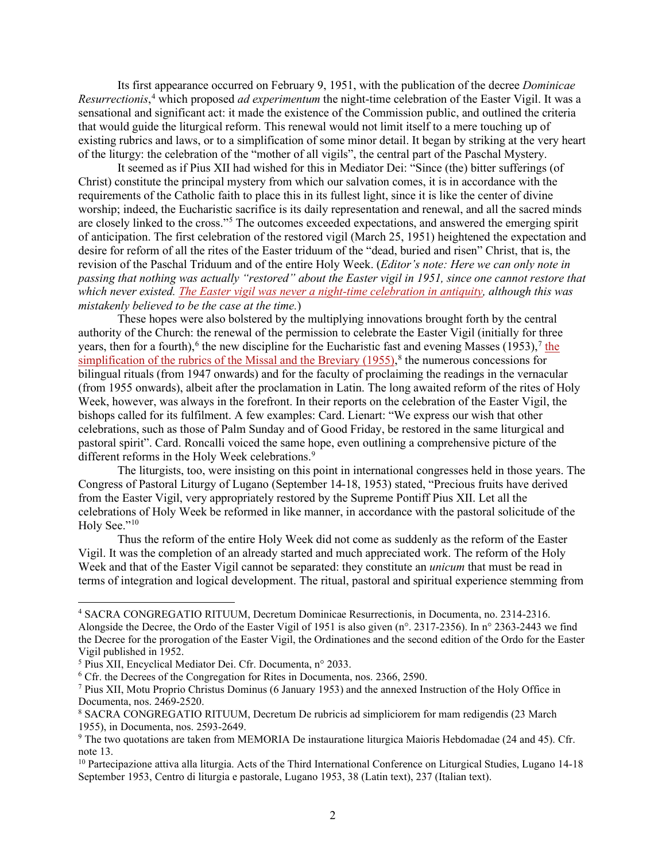Its first appearance occurred on February 9, 1951, with the publication of the decree *Dominicae*  Resurrectionis,<sup>[4](#page-1-0)</sup> which proposed *ad experimentum* the night-time celebration of the Easter Vigil. It was a sensational and significant act: it made the existence of the Commission public, and outlined the criteria that would guide the liturgical reform. This renewal would not limit itself to a mere touching up of existing rubrics and laws, or to a simplification of some minor detail. It began by striking at the very heart of the liturgy: the celebration of the "mother of all vigils", the central part of the Paschal Mystery.

It seemed as if Pius XII had wished for this in Mediator Dei: "Since (the) bitter sufferings (of Christ) constitute the principal mystery from which our salvation comes, it is in accordance with the requirements of the Catholic faith to place this in its fullest light, since it is like the center of divine worship; indeed, the Eucharistic sacrifice is its daily representation and renewal, and all the sacred minds are closely linked to the cross."<sup>[5](#page-1-1)</sup> The outcomes exceeded expectations, and answered the emerging spirit of anticipation. The first celebration of the restored vigil (March 25, 1951) heightened the expectation and desire for reform of all the rites of the Easter triduum of the "dead, buried and risen" Christ, that is, the revision of the Paschal Triduum and of the entire Holy Week. (*Editor's note: Here we can only note in passing that nothing was actually "restored" about the Easter vigil in 1951, since one cannot restore that which never existed. [The Easter vigil was never a night-time celebration in antiquity,](https://www.newliturgicalmovement.org/2020/05/bad-scholarship-on-easter-vigil.html) although this was mistakenly believed to be the case at the time.*)

These hopes were also bolstered by the multiplying innovations brought forth by the central authority of the Church: the renewal of the permission to celebrate the Easter Vigil (initially for three years, then for a fourth),<sup>6</sup> the new discipline for the Eucharistic fast and evening Masses (1953),<sup>[7](#page-1-3)</sup> the simplification of the rubrics of the Missal and the Breviary  $(1955)$ ,<sup>[8](#page-1-4)</sup> the numerous concessions for bilingual rituals (from 1947 onwards) and for the faculty of proclaiming the readings in the vernacular (from 1955 onwards), albeit after the proclamation in Latin. The long awaited reform of the rites of Holy Week, however, was always in the forefront. In their reports on the celebration of the Easter Vigil, the bishops called for its fulfilment. A few examples: Card. Lienart: "We express our wish that other celebrations, such as those of Palm Sunday and of Good Friday, be restored in the same liturgical and pastoral spirit". Card. Roncalli voiced the same hope, even outlining a comprehensive picture of the different reforms in the Holy Week celebrations.<sup>[9](#page-1-5)</sup>

The liturgists, too, were insisting on this point in international congresses held in those years. The Congress of Pastoral Liturgy of Lugano (September 14-18, 1953) stated, "Precious fruits have derived from the Easter Vigil, very appropriately restored by the Supreme Pontiff Pius XII. Let all the celebrations of Holy Week be reformed in like manner, in accordance with the pastoral solicitude of the Holy See."<sup>[10](#page-1-6)</sup>

Thus the reform of the entire Holy Week did not come as suddenly as the reform of the Easter Vigil. It was the completion of an already started and much appreciated work. The reform of the Holy Week and that of the Easter Vigil cannot be separated: they constitute an *unicum* that must be read in terms of integration and logical development. The ritual, pastoral and spiritual experience stemming from

<span id="page-1-0"></span><sup>4</sup> SACRA CONGREGATIO RITUUM, Decretum Dominicae Resurrectionis, in Documenta, no. 2314-2316. Alongside the Decree, the Ordo of the Easter Vigil of 1951 is also given (n°. 2317-2356). In n° 2363-2443 we find the Decree for the prorogation of the Easter Vigil, the Ordinationes and the second edition of the Ordo for the Easter Vigil published in 1952.

<span id="page-1-1"></span><sup>5</sup> Pius XII, Encyclical Mediator Dei. Cfr. Documenta, n° 2033.

<span id="page-1-2"></span><sup>&</sup>lt;sup>6</sup> Cfr. the Decrees of the Congregation for Rites in Documenta, nos. 2366, 2590.

<span id="page-1-3"></span><sup>7</sup> Pius XII, Motu Proprio Christus Dominus (6 January 1953) and the annexed Instruction of the Holy Office in Documenta, nos. 2469-2520.

<span id="page-1-4"></span><sup>8</sup> SACRA CONGREGATIO RITUUM, Decretum De rubricis ad simpliciorem for mam redigendis (23 March 1955), in Documenta, nos. 2593-2649.

<span id="page-1-5"></span><sup>9</sup> The two quotations are taken from MEMORIA De instauratione liturgica Maioris Hebdomadae (24 and 45). Cfr. note 13.

<span id="page-1-6"></span> $10$  Partecipazione attiva alla liturgia. Acts of the Third International Conference on Liturgical Studies, Lugano 14-18 September 1953, Centro di liturgia e pastorale, Lugano 1953, 38 (Latin text), 237 (Italian text).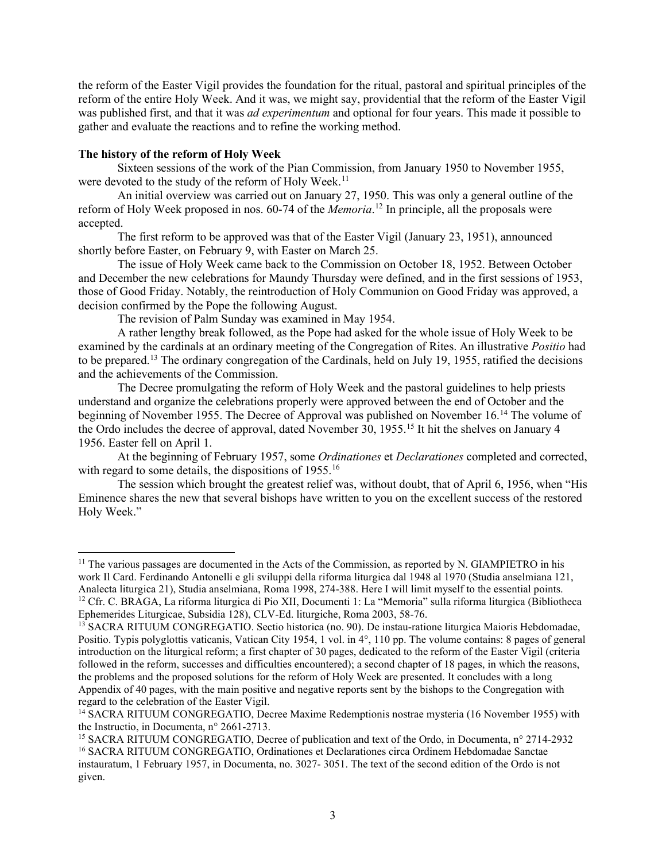the reform of the Easter Vigil provides the foundation for the ritual, pastoral and spiritual principles of the reform of the entire Holy Week. And it was, we might say, providential that the reform of the Easter Vigil was published first, and that it was *ad experimentum* and optional for four years. This made it possible to gather and evaluate the reactions and to refine the working method.

# **The history of the reform of Holy Week**

Sixteen sessions of the work of the Pian Commission, from January 1950 to November 1955, were devoted to the study of the reform of Holy Week.<sup>[11](#page-2-0)</sup>

An initial overview was carried out on January 27, 1950. This was only a general outline of the reform of Holy Week proposed in nos. 60-74 of the *Memoria*. [12](#page-2-1) In principle, all the proposals were accepted.

The first reform to be approved was that of the Easter Vigil (January 23, 1951), announced shortly before Easter, on February 9, with Easter on March 25.

The issue of Holy Week came back to the Commission on October 18, 1952. Between October and December the new celebrations for Maundy Thursday were defined, and in the first sessions of 1953, those of Good Friday. Notably, the reintroduction of Holy Communion on Good Friday was approved, a decision confirmed by the Pope the following August.

The revision of Palm Sunday was examined in May 1954.

A rather lengthy break followed, as the Pope had asked for the whole issue of Holy Week to be examined by the cardinals at an ordinary meeting of the Congregation of Rites. An illustrative *Positio* had to be prepared.[13](#page-2-2) The ordinary congregation of the Cardinals, held on July 19, 1955, ratified the decisions and the achievements of the Commission.

The Decree promulgating the reform of Holy Week and the pastoral guidelines to help priests understand and organize the celebrations properly were approved between the end of October and the beginning of November 1955. The Decree of Approval was published on November 16.[14](#page-2-3) The volume of the Ordo includes the decree of approval, dated November 30, 1955.[15](#page-2-4) It hit the shelves on January 4 1956. Easter fell on April 1.

At the beginning of February 1957, some *Ordinationes* et *Declarationes* completed and corrected, with regard to some details, the dispositions of 1955.<sup>[16](#page-2-5)</sup>

The session which brought the greatest relief was, without doubt, that of April 6, 1956, when "His Eminence shares the new that several bishops have written to you on the excellent success of the restored Holy Week."

<span id="page-2-0"></span> $11$  The various passages are documented in the Acts of the Commission, as reported by N. GIAMPIETRO in his work Il Card. Ferdinando Antonelli e gli sviluppi della riforma liturgica dal 1948 al 1970 (Studia anselmiana 121, Analecta liturgica 21), Studia anselmiana, Roma 1998, 274-388. Here I will limit myself to the essential points. <sup>12</sup> Cfr. C. BRAGA, La riforma liturgica di Pio XII, Documenti 1: La "Memoria" sulla riforma liturgica (Bibliotheca Ephemerides Liturgicae, Subsidia 128), CLV-Ed. liturgiche, Roma 2003, 58-76.

<span id="page-2-2"></span><span id="page-2-1"></span><sup>&</sup>lt;sup>13</sup> SACRA RITUUM CONGREGATIO. Sectio historica (no. 90). De instau-ratione liturgica Maioris Hebdomadae, Positio. Typis polyglottis vaticanis, Vatican City 1954, 1 vol. in 4°, 110 pp. The volume contains: 8 pages of general introduction on the liturgical reform; a first chapter of 30 pages, dedicated to the reform of the Easter Vigil (criteria followed in the reform, successes and difficulties encountered); a second chapter of 18 pages, in which the reasons, the problems and the proposed solutions for the reform of Holy Week are presented. It concludes with a long Appendix of 40 pages, with the main positive and negative reports sent by the bishops to the Congregation with regard to the celebration of the Easter Vigil.

<span id="page-2-3"></span><sup>14</sup> SACRA RITUUM CONGREGATIO, Decree Maxime Redemptionis nostrae mysteria (16 November 1955) with the Instructio, in Documenta, n° 2661-2713.

<span id="page-2-5"></span><span id="page-2-4"></span><sup>15</sup> SACRA RITUUM CONGREGATIO, Decree of publication and text of the Ordo, in Documenta, n° 2714-2932 <sup>16</sup> SACRA RITUUM CONGREGATIO, Ordinationes et Declarationes circa Ordinem Hebdomadae Sanctae instauratum, 1 February 1957, in Documenta, no. 3027- 3051. The text of the second edition of the Ordo is not given.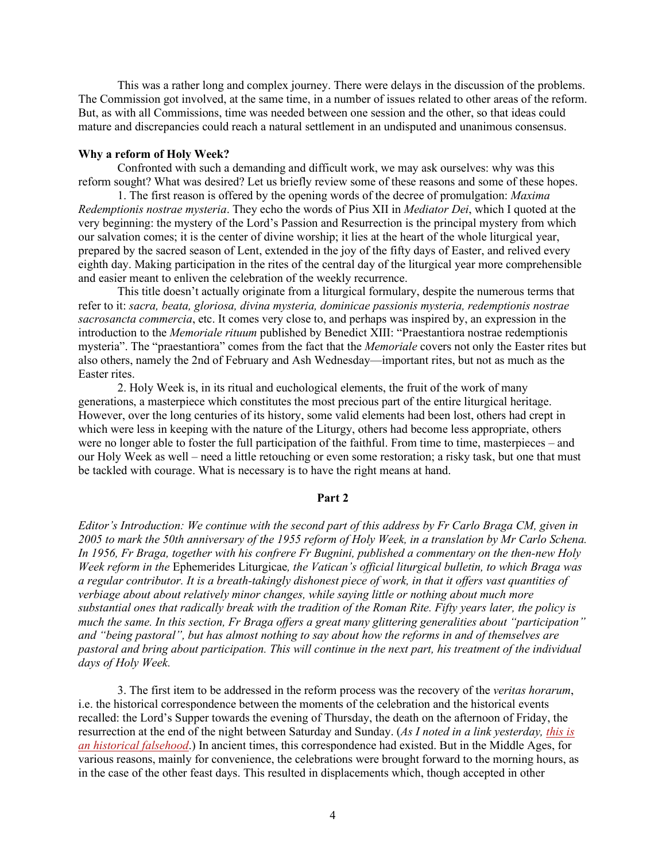This was a rather long and complex journey. There were delays in the discussion of the problems. The Commission got involved, at the same time, in a number of issues related to other areas of the reform. But, as with all Commissions, time was needed between one session and the other, so that ideas could mature and discrepancies could reach a natural settlement in an undisputed and unanimous consensus.

#### **Why a reform of Holy Week?**

Confronted with such a demanding and difficult work, we may ask ourselves: why was this reform sought? What was desired? Let us briefly review some of these reasons and some of these hopes.

1. The first reason is offered by the opening words of the decree of promulgation: *Maxima Redemptionis nostrae mysteria*. They echo the words of Pius XII in *Mediator Dei*, which I quoted at the very beginning: the mystery of the Lord's Passion and Resurrection is the principal mystery from which our salvation comes; it is the center of divine worship; it lies at the heart of the whole liturgical year, prepared by the sacred season of Lent, extended in the joy of the fifty days of Easter, and relived every eighth day. Making participation in the rites of the central day of the liturgical year more comprehensible and easier meant to enliven the celebration of the weekly recurrence.

This title doesn't actually originate from a liturgical formulary, despite the numerous terms that refer to it: *sacra, beata, gloriosa, divina mysteria, dominicae passionis mysteria, redemptionis nostrae sacrosancta commercia*, etc. It comes very close to, and perhaps was inspired by, an expression in the introduction to the *Memoriale rituum* published by Benedict XIII: "Praestantiora nostrae redemptionis mysteria". The "praestantiora" comes from the fact that the *Memoriale* covers not only the Easter rites but also others, namely the 2nd of February and Ash Wednesday—important rites, but not as much as the Easter rites.

2. Holy Week is, in its ritual and euchological elements, the fruit of the work of many generations, a masterpiece which constitutes the most precious part of the entire liturgical heritage. However, over the long centuries of its history, some valid elements had been lost, others had crept in which were less in keeping with the nature of the Liturgy, others had become less appropriate, others were no longer able to foster the full participation of the faithful. From time to time, masterpieces – and our Holy Week as well – need a little retouching or even some restoration; a risky task, but one that must be tackled with courage. What is necessary is to have the right means at hand.

# **Part 2**

*Editor's Introduction: We continue with the second part of this address by Fr Carlo Braga CM, given in 2005 to mark the 50th anniversary of the 1955 reform of Holy Week, in a translation by Mr Carlo Schena. In 1956, Fr Braga, together with his confrere Fr Bugnini, published a commentary on the then-new Holy Week reform in the* Ephemerides Liturgicae*, the Vatican's official liturgical bulletin, to which Braga was a regular contributor. It is a breath-takingly dishonest piece of work, in that it offers vast quantities of verbiage about about relatively minor changes, while saying little or nothing about much more substantial ones that radically break with the tradition of the Roman Rite. Fifty years later, the policy is much the same. In this section, Fr Braga offers a great many glittering generalities about "participation" and "being pastoral", but has almost nothing to say about how the reforms in and of themselves are pastoral and bring about participation. This will continue in the next part, his treatment of the individual days of Holy Week.* 

3. The first item to be addressed in the reform process was the recovery of the *veritas horarum*, i.e. the historical correspondence between the moments of the celebration and the historical events recalled: the Lord's Supper towards the evening of Thursday, the death on the afternoon of Friday, the resurrection at the end of the night between Saturday and Sunday. (*As I noted in a link yesterday, [this is](https://www.newliturgicalmovement.org/2020/05/bad-scholarship-on-easter-vigil.html)  [an historical falsehood](https://www.newliturgicalmovement.org/2020/05/bad-scholarship-on-easter-vigil.html)*.) In ancient times, this correspondence had existed. But in the Middle Ages, for various reasons, mainly for convenience, the celebrations were brought forward to the morning hours, as in the case of the other feast days. This resulted in displacements which, though accepted in other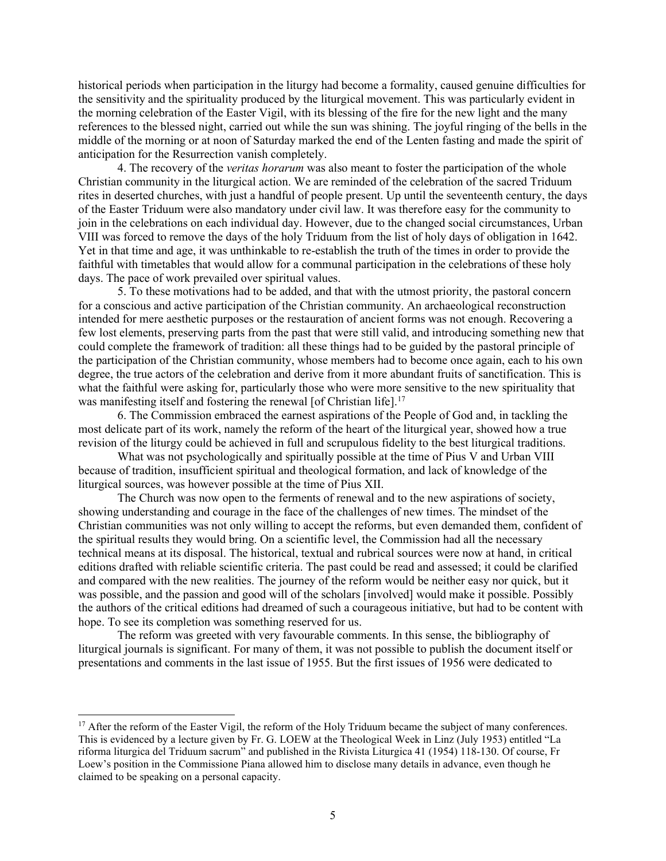historical periods when participation in the liturgy had become a formality, caused genuine difficulties for the sensitivity and the spirituality produced by the liturgical movement. This was particularly evident in the morning celebration of the Easter Vigil, with its blessing of the fire for the new light and the many references to the blessed night, carried out while the sun was shining. The joyful ringing of the bells in the middle of the morning or at noon of Saturday marked the end of the Lenten fasting and made the spirit of anticipation for the Resurrection vanish completely.

4. The recovery of the *veritas horarum* was also meant to foster the participation of the whole Christian community in the liturgical action. We are reminded of the celebration of the sacred Triduum rites in deserted churches, with just a handful of people present. Up until the seventeenth century, the days of the Easter Triduum were also mandatory under civil law. It was therefore easy for the community to join in the celebrations on each individual day. However, due to the changed social circumstances, Urban VIII was forced to remove the days of the holy Triduum from the list of holy days of obligation in 1642. Yet in that time and age, it was unthinkable to re-establish the truth of the times in order to provide the faithful with timetables that would allow for a communal participation in the celebrations of these holy days. The pace of work prevailed over spiritual values.

5. To these motivations had to be added, and that with the utmost priority, the pastoral concern for a conscious and active participation of the Christian community. An archaeological reconstruction intended for mere aesthetic purposes or the restauration of ancient forms was not enough. Recovering a few lost elements, preserving parts from the past that were still valid, and introducing something new that could complete the framework of tradition: all these things had to be guided by the pastoral principle of the participation of the Christian community, whose members had to become once again, each to his own degree, the true actors of the celebration and derive from it more abundant fruits of sanctification. This is what the faithful were asking for, particularly those who were more sensitive to the new spirituality that was manifesting itself and fostering the renewal [of Christian life].<sup>[17](#page-4-0)</sup>

6. The Commission embraced the earnest aspirations of the People of God and, in tackling the most delicate part of its work, namely the reform of the heart of the liturgical year, showed how a true revision of the liturgy could be achieved in full and scrupulous fidelity to the best liturgical traditions.

What was not psychologically and spiritually possible at the time of Pius V and Urban VIII because of tradition, insufficient spiritual and theological formation, and lack of knowledge of the liturgical sources, was however possible at the time of Pius XII.

The Church was now open to the ferments of renewal and to the new aspirations of society, showing understanding and courage in the face of the challenges of new times. The mindset of the Christian communities was not only willing to accept the reforms, but even demanded them, confident of the spiritual results they would bring. On a scientific level, the Commission had all the necessary technical means at its disposal. The historical, textual and rubrical sources were now at hand, in critical editions drafted with reliable scientific criteria. The past could be read and assessed; it could be clarified and compared with the new realities. The journey of the reform would be neither easy nor quick, but it was possible, and the passion and good will of the scholars [involved] would make it possible. Possibly the authors of the critical editions had dreamed of such a courageous initiative, but had to be content with hope. To see its completion was something reserved for us.

The reform was greeted with very favourable comments. In this sense, the bibliography of liturgical journals is significant. For many of them, it was not possible to publish the document itself or presentations and comments in the last issue of 1955. But the first issues of 1956 were dedicated to

<span id="page-4-0"></span><sup>&</sup>lt;sup>17</sup> After the reform of the Easter Vigil, the reform of the Holy Triduum became the subject of many conferences. This is evidenced by a lecture given by Fr. G. LOEW at the Theological Week in Linz (July 1953) entitled "La riforma liturgica del Triduum sacrum" and published in the Rivista Liturgica 41 (1954) 118-130. Of course, Fr Loew's position in the Commissione Piana allowed him to disclose many details in advance, even though he claimed to be speaking on a personal capacity.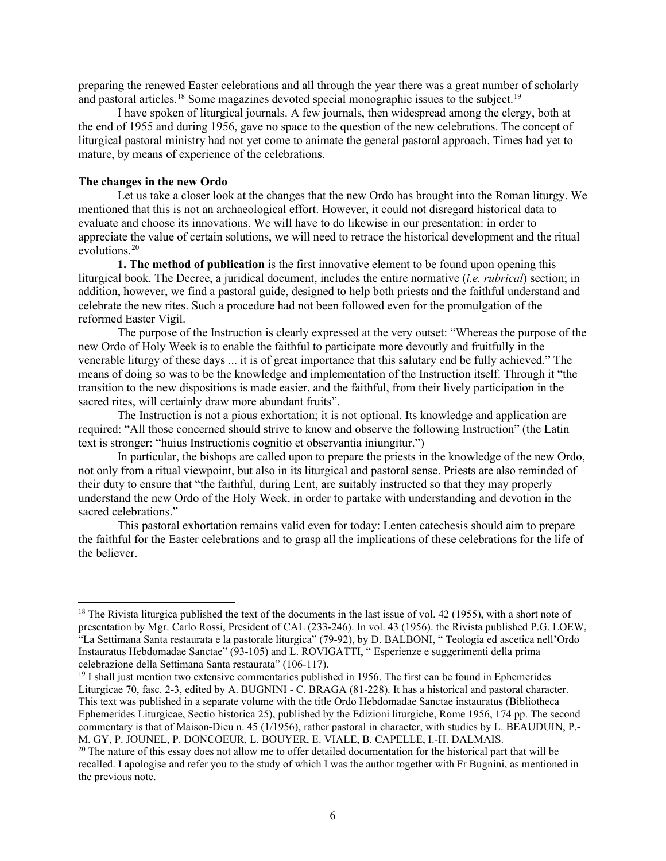preparing the renewed Easter celebrations and all through the year there was a great number of scholarly and pastoral articles.<sup>[18](#page-5-0)</sup> Some magazines devoted special monographic issues to the subject.<sup>19</sup>

I have spoken of liturgical journals. A few journals, then widespread among the clergy, both at the end of 1955 and during 1956, gave no space to the question of the new celebrations. The concept of liturgical pastoral ministry had not yet come to animate the general pastoral approach. Times had yet to mature, by means of experience of the celebrations.

# **The changes in the new Ordo**

Let us take a closer look at the changes that the new Ordo has brought into the Roman liturgy. We mentioned that this is not an archaeological effort. However, it could not disregard historical data to evaluate and choose its innovations. We will have to do likewise in our presentation: in order to appreciate the value of certain solutions, we will need to retrace the historical development and the ritual evolutions.[20](#page-5-2)

**1. The method of publication** is the first innovative element to be found upon opening this liturgical book. The Decree, a juridical document, includes the entire normative (*i.e. rubrical*) section; in addition, however, we find a pastoral guide, designed to help both priests and the faithful understand and celebrate the new rites. Such a procedure had not been followed even for the promulgation of the reformed Easter Vigil.

The purpose of the Instruction is clearly expressed at the very outset: "Whereas the purpose of the new Ordo of Holy Week is to enable the faithful to participate more devoutly and fruitfully in the venerable liturgy of these days ... it is of great importance that this salutary end be fully achieved." The means of doing so was to be the knowledge and implementation of the Instruction itself. Through it "the transition to the new dispositions is made easier, and the faithful, from their lively participation in the sacred rites, will certainly draw more abundant fruits".

The Instruction is not a pious exhortation; it is not optional. Its knowledge and application are required: "All those concerned should strive to know and observe the following Instruction" (the Latin text is stronger: "huius Instructionis cognitio et observantia iniungitur.")

In particular, the bishops are called upon to prepare the priests in the knowledge of the new Ordo, not only from a ritual viewpoint, but also in its liturgical and pastoral sense. Priests are also reminded of their duty to ensure that "the faithful, during Lent, are suitably instructed so that they may properly understand the new Ordo of the Holy Week, in order to partake with understanding and devotion in the sacred celebrations."

This pastoral exhortation remains valid even for today: Lenten catechesis should aim to prepare the faithful for the Easter celebrations and to grasp all the implications of these celebrations for the life of the believer.

<span id="page-5-0"></span> $18$  The Rivista liturgica published the text of the documents in the last issue of vol. 42 (1955), with a short note of presentation by Mgr. Carlo Rossi, President of CAL (233-246). In vol. 43 (1956). the Rivista published P.G. LOEW, "La Settimana Santa restaurata e la pastorale liturgica" (79-92), by D. BALBONI, " Teologia ed ascetica nell'Ordo Instauratus Hebdomadae Sanctae" (93-105) and L. ROVIGATTI, " Esperienze e suggerimenti della prima celebrazione della Settimana Santa restaurata" (106-117).

<span id="page-5-1"></span><sup>&</sup>lt;sup>19</sup> I shall just mention two extensive commentaries published in 1956. The first can be found in Ephemerides Liturgicae 70, fasc. 2-3, edited by A. BUGNINI - C. BRAGA (81-228). It has a historical and pastoral character. This text was published in a separate volume with the title Ordo Hebdomadae Sanctae instauratus (Bibliotheca Ephemerides Liturgicae, Sectio historica 25), published by the Edizioni liturgiche, Rome 1956, 174 pp. The second commentary is that of Maison-Dieu n. 45 (1/1956), rather pastoral in character, with studies by L. BEAUDUIN, P.- M. GY, P. JOUNEL, P. DONCOEUR, L. BOUYER, E. VIALE, B. CAPELLE, I.-H. DALMAIS.

<span id="page-5-2"></span><sup>&</sup>lt;sup>20</sup> The nature of this essay does not allow me to offer detailed documentation for the historical part that will be recalled. I apologise and refer you to the study of which I was the author together with Fr Bugnini, as mentioned in the previous note.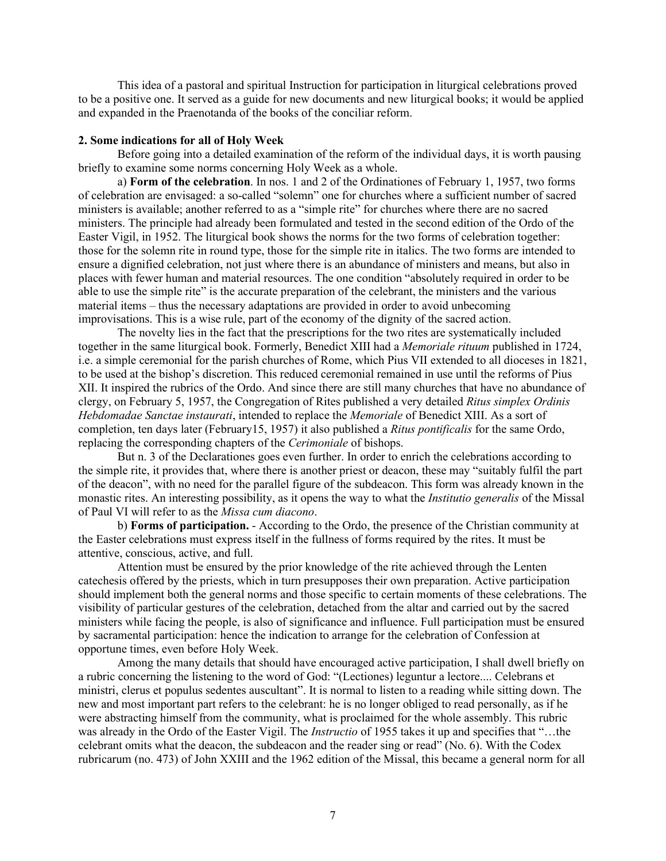This idea of a pastoral and spiritual Instruction for participation in liturgical celebrations proved to be a positive one. It served as a guide for new documents and new liturgical books; it would be applied and expanded in the Praenotanda of the books of the conciliar reform.

#### **2. Some indications for all of Holy Week**

Before going into a detailed examination of the reform of the individual days, it is worth pausing briefly to examine some norms concerning Holy Week as a whole.

a) **Form of the celebration**. In nos. 1 and 2 of the Ordinationes of February 1, 1957, two forms of celebration are envisaged: a so-called "solemn" one for churches where a sufficient number of sacred ministers is available; another referred to as a "simple rite" for churches where there are no sacred ministers. The principle had already been formulated and tested in the second edition of the Ordo of the Easter Vigil, in 1952. The liturgical book shows the norms for the two forms of celebration together: those for the solemn rite in round type, those for the simple rite in italics. The two forms are intended to ensure a dignified celebration, not just where there is an abundance of ministers and means, but also in places with fewer human and material resources. The one condition "absolutely required in order to be able to use the simple rite" is the accurate preparation of the celebrant, the ministers and the various material items – thus the necessary adaptations are provided in order to avoid unbecoming improvisations. This is a wise rule, part of the economy of the dignity of the sacred action.

The novelty lies in the fact that the prescriptions for the two rites are systematically included together in the same liturgical book. Formerly, Benedict XIII had a *Memoriale rituum* published in 1724, i.e. a simple ceremonial for the parish churches of Rome, which Pius VII extended to all dioceses in 1821, to be used at the bishop's discretion. This reduced ceremonial remained in use until the reforms of Pius XII. It inspired the rubrics of the Ordo. And since there are still many churches that have no abundance of clergy, on February 5, 1957, the Congregation of Rites published a very detailed *Ritus simplex Ordinis Hebdomadae Sanctae instaurati*, intended to replace the *Memoriale* of Benedict XIII. As a sort of completion, ten days later (February15, 1957) it also published a *Ritus pontificalis* for the same Ordo, replacing the corresponding chapters of the *Cerimoniale* of bishops.

But n. 3 of the Declarationes goes even further. In order to enrich the celebrations according to the simple rite, it provides that, where there is another priest or deacon, these may "suitably fulfil the part of the deacon", with no need for the parallel figure of the subdeacon. This form was already known in the monastic rites. An interesting possibility, as it opens the way to what the *Institutio generalis* of the Missal of Paul VI will refer to as the *Missa cum diacono*.

b) **Forms of participation.** - According to the Ordo, the presence of the Christian community at the Easter celebrations must express itself in the fullness of forms required by the rites. It must be attentive, conscious, active, and full.

Attention must be ensured by the prior knowledge of the rite achieved through the Lenten catechesis offered by the priests, which in turn presupposes their own preparation. Active participation should implement both the general norms and those specific to certain moments of these celebrations. The visibility of particular gestures of the celebration, detached from the altar and carried out by the sacred ministers while facing the people, is also of significance and influence. Full participation must be ensured by sacramental participation: hence the indication to arrange for the celebration of Confession at opportune times, even before Holy Week.

Among the many details that should have encouraged active participation, I shall dwell briefly on a rubric concerning the listening to the word of God: "(Lectiones) leguntur a lectore.... Celebrans et ministri, clerus et populus sedentes auscultant". It is normal to listen to a reading while sitting down. The new and most important part refers to the celebrant: he is no longer obliged to read personally, as if he were abstracting himself from the community, what is proclaimed for the whole assembly. This rubric was already in the Ordo of the Easter Vigil. The *Instructio* of 1955 takes it up and specifies that "…the celebrant omits what the deacon, the subdeacon and the reader sing or read" (No. 6). With the Codex rubricarum (no. 473) of John XXIII and the 1962 edition of the Missal, this became a general norm for all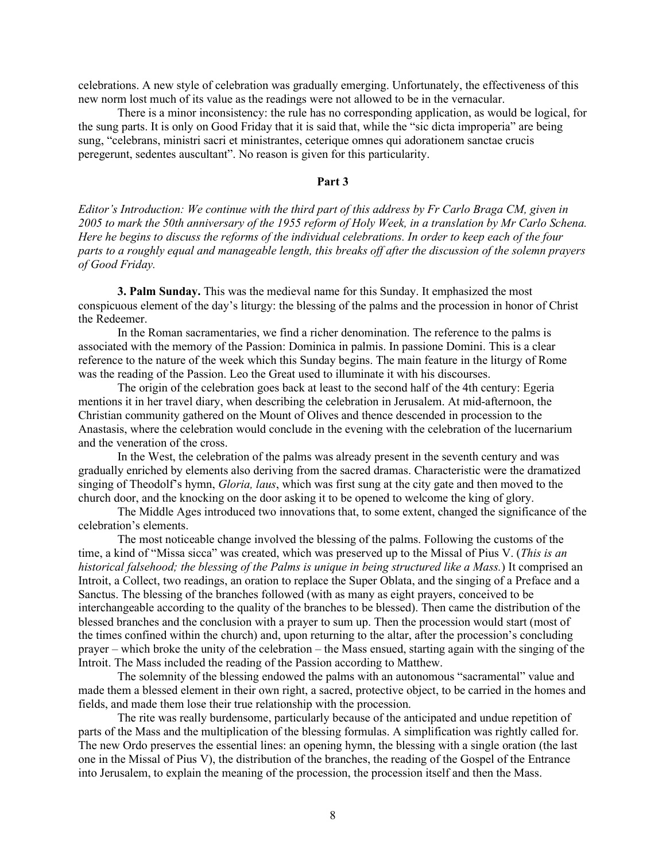celebrations. A new style of celebration was gradually emerging. Unfortunately, the effectiveness of this new norm lost much of its value as the readings were not allowed to be in the vernacular.

There is a minor inconsistency: the rule has no corresponding application, as would be logical, for the sung parts. It is only on Good Friday that it is said that, while the "sic dicta improperia" are being sung, "celebrans, ministri sacri et ministrantes, ceterique omnes qui adorationem sanctae crucis peregerunt, sedentes auscultant". No reason is given for this particularity.

# **Part 3**

*Editor's Introduction: We continue with the third part of this address by Fr Carlo Braga CM, given in 2005 to mark the 50th anniversary of the 1955 reform of Holy Week, in a translation by Mr Carlo Schena. Here he begins to discuss the reforms of the individual celebrations. In order to keep each of the four parts to a roughly equal and manageable length, this breaks off after the discussion of the solemn prayers of Good Friday.* 

**3. Palm Sunday.** This was the medieval name for this Sunday. It emphasized the most conspicuous element of the day's liturgy: the blessing of the palms and the procession in honor of Christ the Redeemer.

In the Roman sacramentaries, we find a richer denomination. The reference to the palms is associated with the memory of the Passion: Dominica in palmis. In passione Domini. This is a clear reference to the nature of the week which this Sunday begins. The main feature in the liturgy of Rome was the reading of the Passion. Leo the Great used to illuminate it with his discourses.

The origin of the celebration goes back at least to the second half of the 4th century: Egeria mentions it in her travel diary, when describing the celebration in Jerusalem. At mid-afternoon, the Christian community gathered on the Mount of Olives and thence descended in procession to the Anastasis, where the celebration would conclude in the evening with the celebration of the lucernarium and the veneration of the cross.

In the West, the celebration of the palms was already present in the seventh century and was gradually enriched by elements also deriving from the sacred dramas. Characteristic were the dramatized singing of Theodolf's hymn, *Gloria, laus*, which was first sung at the city gate and then moved to the church door, and the knocking on the door asking it to be opened to welcome the king of glory.

The Middle Ages introduced two innovations that, to some extent, changed the significance of the celebration's elements.

The most noticeable change involved the blessing of the palms. Following the customs of the time, a kind of "Missa sicca" was created, which was preserved up to the Missal of Pius V. (*This is an historical falsehood; the blessing of the Palms is unique in being structured like a Mass.*) It comprised an Introit, a Collect, two readings, an oration to replace the Super Oblata, and the singing of a Preface and a Sanctus. The blessing of the branches followed (with as many as eight prayers, conceived to be interchangeable according to the quality of the branches to be blessed). Then came the distribution of the blessed branches and the conclusion with a prayer to sum up. Then the procession would start (most of the times confined within the church) and, upon returning to the altar, after the procession's concluding prayer – which broke the unity of the celebration – the Mass ensued, starting again with the singing of the Introit. The Mass included the reading of the Passion according to Matthew.

The solemnity of the blessing endowed the palms with an autonomous "sacramental" value and made them a blessed element in their own right, a sacred, protective object, to be carried in the homes and fields, and made them lose their true relationship with the procession.

The rite was really burdensome, particularly because of the anticipated and undue repetition of parts of the Mass and the multiplication of the blessing formulas. A simplification was rightly called for. The new Ordo preserves the essential lines: an opening hymn, the blessing with a single oration (the last one in the Missal of Pius V), the distribution of the branches, the reading of the Gospel of the Entrance into Jerusalem, to explain the meaning of the procession, the procession itself and then the Mass.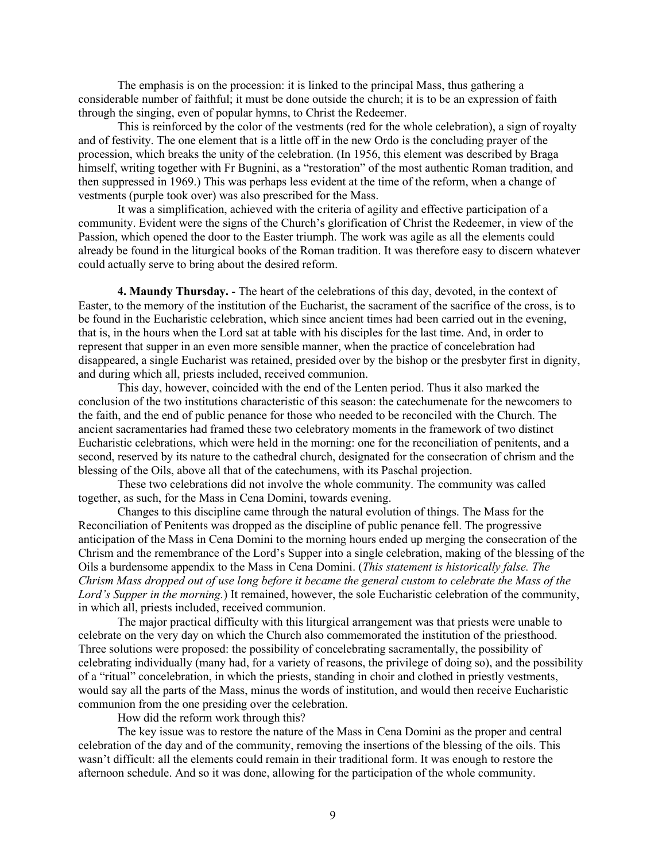The emphasis is on the procession: it is linked to the principal Mass, thus gathering a considerable number of faithful; it must be done outside the church; it is to be an expression of faith through the singing, even of popular hymns, to Christ the Redeemer.

This is reinforced by the color of the vestments (red for the whole celebration), a sign of royalty and of festivity. The one element that is a little off in the new Ordo is the concluding prayer of the procession, which breaks the unity of the celebration. (In 1956, this element was described by Braga himself, writing together with Fr Bugnini, as a "restoration" of the most authentic Roman tradition, and then suppressed in 1969.) This was perhaps less evident at the time of the reform, when a change of vestments (purple took over) was also prescribed for the Mass.

It was a simplification, achieved with the criteria of agility and effective participation of a community. Evident were the signs of the Church's glorification of Christ the Redeemer, in view of the Passion, which opened the door to the Easter triumph. The work was agile as all the elements could already be found in the liturgical books of the Roman tradition. It was therefore easy to discern whatever could actually serve to bring about the desired reform.

**4. Maundy Thursday.** - The heart of the celebrations of this day, devoted, in the context of Easter, to the memory of the institution of the Eucharist, the sacrament of the sacrifice of the cross, is to be found in the Eucharistic celebration, which since ancient times had been carried out in the evening, that is, in the hours when the Lord sat at table with his disciples for the last time. And, in order to represent that supper in an even more sensible manner, when the practice of concelebration had disappeared, a single Eucharist was retained, presided over by the bishop or the presbyter first in dignity, and during which all, priests included, received communion.

This day, however, coincided with the end of the Lenten period. Thus it also marked the conclusion of the two institutions characteristic of this season: the catechumenate for the newcomers to the faith, and the end of public penance for those who needed to be reconciled with the Church. The ancient sacramentaries had framed these two celebratory moments in the framework of two distinct Eucharistic celebrations, which were held in the morning: one for the reconciliation of penitents, and a second, reserved by its nature to the cathedral church, designated for the consecration of chrism and the blessing of the Oils, above all that of the catechumens, with its Paschal projection.

These two celebrations did not involve the whole community. The community was called together, as such, for the Mass in Cena Domini, towards evening.

Changes to this discipline came through the natural evolution of things. The Mass for the Reconciliation of Penitents was dropped as the discipline of public penance fell. The progressive anticipation of the Mass in Cena Domini to the morning hours ended up merging the consecration of the Chrism and the remembrance of the Lord's Supper into a single celebration, making of the blessing of the Oils a burdensome appendix to the Mass in Cena Domini. (*This statement is historically false. The Chrism Mass dropped out of use long before it became the general custom to celebrate the Mass of the Lord's Supper in the morning.*) It remained, however, the sole Eucharistic celebration of the community, in which all, priests included, received communion.

The major practical difficulty with this liturgical arrangement was that priests were unable to celebrate on the very day on which the Church also commemorated the institution of the priesthood. Three solutions were proposed: the possibility of concelebrating sacramentally, the possibility of celebrating individually (many had, for a variety of reasons, the privilege of doing so), and the possibility of a "ritual" concelebration, in which the priests, standing in choir and clothed in priestly vestments, would say all the parts of the Mass, minus the words of institution, and would then receive Eucharistic communion from the one presiding over the celebration.

How did the reform work through this?

The key issue was to restore the nature of the Mass in Cena Domini as the proper and central celebration of the day and of the community, removing the insertions of the blessing of the oils. This wasn't difficult: all the elements could remain in their traditional form. It was enough to restore the afternoon schedule. And so it was done, allowing for the participation of the whole community.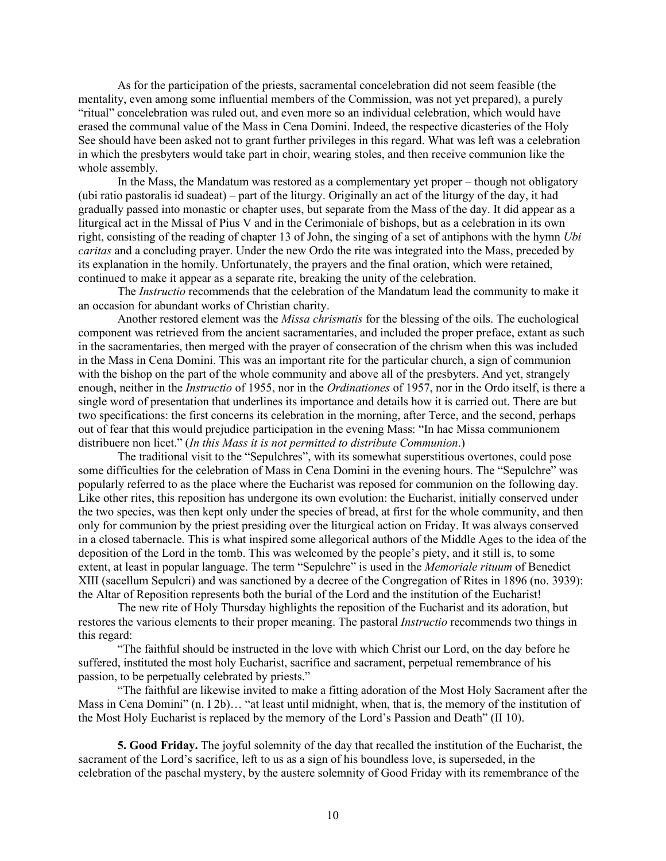As for the participation of the priests, sacramental concelebration did not seem feasible (the mentality, even among some influential members of the Commission, was not yet prepared), a purely "ritual" concelebration was ruled out, and even more so an individual celebration, which would have erased the communal value of the Mass in Cena Domini. Indeed, the respective dicasteries of the Holy See should have been asked not to grant further privileges in this regard. What was left was a celebration in which the presbyters would take part in choir, wearing stoles, and then receive communion like the whole assembly.

In the Mass, the Mandatum was restored as a complementary yet proper – though not obligatory (ubi ratio pastoralis id suadeat) – part of the liturgy. Originally an act of the liturgy of the day, it had gradually passed into monastic or chapter uses, but separate from the Mass of the day. It did appear as a liturgical act in the Missal of Pius V and in the Cerimoniale of bishops, but as a celebration in its own right, consisting of the reading of chapter 13 of John, the singing of a set of antiphons with the hymn *Ubi caritas* and a concluding prayer. Under the new Ordo the rite was integrated into the Mass, preceded by its explanation in the homily. Unfortunately, the prayers and the final oration, which were retained, continued to make it appear as a separate rite, breaking the unity of the celebration.

The *Instructio* recommends that the celebration of the Mandatum lead the community to make it an occasion for abundant works of Christian charity.

Another restored element was the *Missa chrismatis* for the blessing of the oils. The euchological component was retrieved from the ancient sacramentaries, and included the proper preface, extant as such in the sacramentaries, then merged with the prayer of consecration of the chrism when this was included in the Mass in Cena Domini. This was an important rite for the particular church, a sign of communion with the bishop on the part of the whole community and above all of the presbyters. And yet, strangely enough, neither in the *Instructio* of 1955, nor in the *Ordinationes* of 1957, nor in the Ordo itself, is there a single word of presentation that underlines its importance and details how it is carried out. There are but two specifications: the first concerns its celebration in the morning, after Terce, and the second, perhaps out of fear that this would prejudice participation in the evening Mass: "In hac Missa communionem distribuere non licet." (*In this Mass it is not permitted to distribute Communion*.)

The traditional visit to the "Sepulchres", with its somewhat superstitious overtones, could pose some difficulties for the celebration of Mass in Cena Domini in the evening hours. The "Sepulchre" was popularly referred to as the place where the Eucharist was reposed for communion on the following day. Like other rites, this reposition has undergone its own evolution: the Eucharist, initially conserved under the two species, was then kept only under the species of bread, at first for the whole community, and then only for communion by the priest presiding over the liturgical action on Friday. It was always conserved in a closed tabernacle. This is what inspired some allegorical authors of the Middle Ages to the idea of the deposition of the Lord in the tomb. This was welcomed by the people's piety, and it still is, to some extent, at least in popular language. The term "Sepulchre" is used in the *Memoriale rituum* of Benedict XIII (sacellum Sepulcri) and was sanctioned by a decree of the Congregation of Rites in 1896 (no. 3939): the Altar of Reposition represents both the burial of the Lord and the institution of the Eucharist!

The new rite of Holy Thursday highlights the reposition of the Eucharist and its adoration, but restores the various elements to their proper meaning. The pastoral *Instructio* recommends two things in this regard:

"The faithful should be instructed in the love with which Christ our Lord, on the day before he suffered, instituted the most holy Eucharist, sacrifice and sacrament, perpetual remembrance of his passion, to be perpetually celebrated by priests."

"The faithful are likewise invited to make a fitting adoration of the Most Holy Sacrament after the Mass in Cena Domini" (n. I 2b)… "at least until midnight, when, that is, the memory of the institution of the Most Holy Eucharist is replaced by the memory of the Lord's Passion and Death" (II 10).

**5. Good Friday.** The joyful solemnity of the day that recalled the institution of the Eucharist, the sacrament of the Lord's sacrifice, left to us as a sign of his boundless love, is superseded, in the celebration of the paschal mystery, by the austere solemnity of Good Friday with its remembrance of the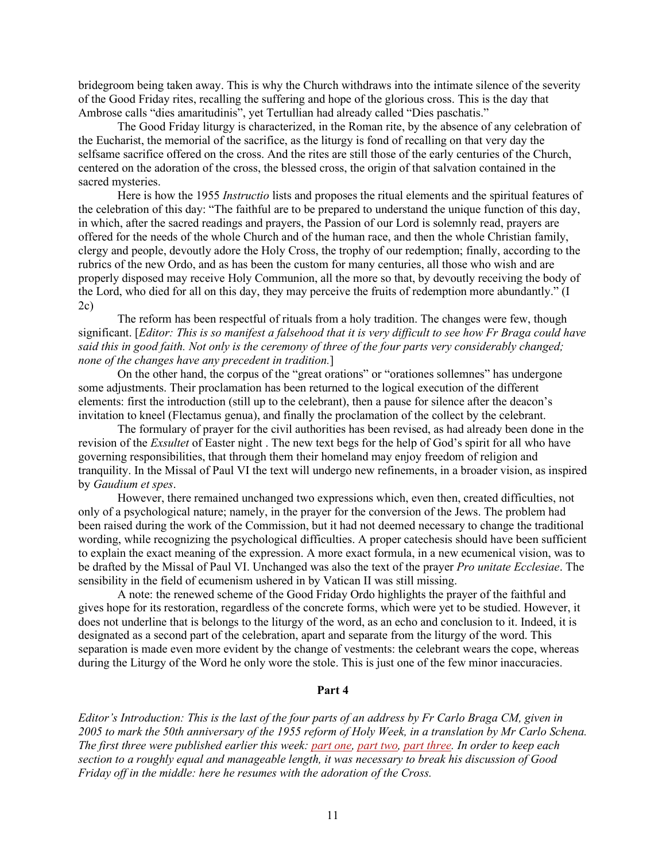bridegroom being taken away. This is why the Church withdraws into the intimate silence of the severity of the Good Friday rites, recalling the suffering and hope of the glorious cross. This is the day that Ambrose calls "dies amaritudinis", yet Tertullian had already called "Dies paschatis."

The Good Friday liturgy is characterized, in the Roman rite, by the absence of any celebration of the Eucharist, the memorial of the sacrifice, as the liturgy is fond of recalling on that very day the selfsame sacrifice offered on the cross. And the rites are still those of the early centuries of the Church, centered on the adoration of the cross, the blessed cross, the origin of that salvation contained in the sacred mysteries.

Here is how the 1955 *Instructio* lists and proposes the ritual elements and the spiritual features of the celebration of this day: "The faithful are to be prepared to understand the unique function of this day, in which, after the sacred readings and prayers, the Passion of our Lord is solemnly read, prayers are offered for the needs of the whole Church and of the human race, and then the whole Christian family, clergy and people, devoutly adore the Holy Cross, the trophy of our redemption; finally, according to the rubrics of the new Ordo, and as has been the custom for many centuries, all those who wish and are properly disposed may receive Holy Communion, all the more so that, by devoutly receiving the body of the Lord, who died for all on this day, they may perceive the fruits of redemption more abundantly." (I 2c)

The reform has been respectful of rituals from a holy tradition. The changes were few, though significant. [*Editor: This is so manifest a falsehood that it is very difficult to see how Fr Braga could have said this in good faith. Not only is the ceremony of three of the four parts very considerably changed; none of the changes have any precedent in tradition.*]

On the other hand, the corpus of the "great orations" or "orationes sollemnes" has undergone some adjustments. Their proclamation has been returned to the logical execution of the different elements: first the introduction (still up to the celebrant), then a pause for silence after the deacon's invitation to kneel (Flectamus genua), and finally the proclamation of the collect by the celebrant.

The formulary of prayer for the civil authorities has been revised, as had already been done in the revision of the *Exsultet* of Easter night . The new text begs for the help of God's spirit for all who have governing responsibilities, that through them their homeland may enjoy freedom of religion and tranquility. In the Missal of Paul VI the text will undergo new refinements, in a broader vision, as inspired by *Gaudium et spes*.

However, there remained unchanged two expressions which, even then, created difficulties, not only of a psychological nature; namely, in the prayer for the conversion of the Jews. The problem had been raised during the work of the Commission, but it had not deemed necessary to change the traditional wording, while recognizing the psychological difficulties. A proper catechesis should have been sufficient to explain the exact meaning of the expression. A more exact formula, in a new ecumenical vision, was to be drafted by the Missal of Paul VI. Unchanged was also the text of the prayer *Pro unitate Ecclesiae*. The sensibility in the field of ecumenism ushered in by Vatican II was still missing.

A note: the renewed scheme of the Good Friday Ordo highlights the prayer of the faithful and gives hope for its restoration, regardless of the concrete forms, which were yet to be studied. However, it does not underline that is belongs to the liturgy of the word, as an echo and conclusion to it. Indeed, it is designated as a second part of the celebration, apart and separate from the liturgy of the word. This separation is made even more evident by the change of vestments: the celebrant wears the cope, whereas during the Liturgy of the Word he only wore the stole. This is just one of the few minor inaccuracies.

# **Part 4**

*Editor's Introduction: This is the last of the four parts of an address by Fr Carlo Braga CM, given in 2005 to mark the 50th anniversary of the 1955 reform of Holy Week, in a translation by Mr Carlo Schena. The first three were published earlier this week: [part one,](https://www.newliturgicalmovement.org/2022/06/fr-carlo-braga-on-1955-holy-week-reform.html) [part two,](https://www.newliturgicalmovement.org/2022/06/fr-carlo-braga-on-1955-holy-week-reform_2.html) [part three.](https://www.newliturgicalmovement.org/2022/06/fr-carlo-braga-on-1955-holy-week-reform_3.html) In order to keep each section to a roughly equal and manageable length, it was necessary to break his discussion of Good Friday off in the middle: here he resumes with the adoration of the Cross.*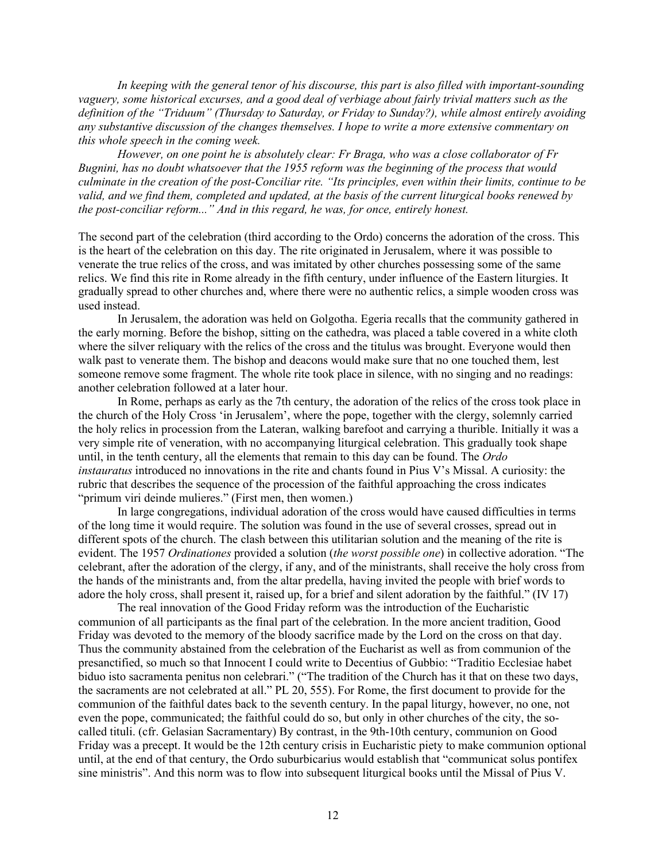*In keeping with the general tenor of his discourse, this part is also filled with important-sounding vaguery, some historical excurses, and a good deal of verbiage about fairly trivial matters such as the definition of the "Triduum" (Thursday to Saturday, or Friday to Sunday?), while almost entirely avoiding any substantive discussion of the changes themselves. I hope to write a more extensive commentary on this whole speech in the coming week.*

*However, on one point he is absolutely clear: Fr Braga, who was a close collaborator of Fr Bugnini, has no doubt whatsoever that the 1955 reform was the beginning of the process that would culminate in the creation of the post-Conciliar rite. "Its principles, even within their limits, continue to be valid, and we find them, completed and updated, at the basis of the current liturgical books renewed by the post-conciliar reform..." And in this regard, he was, for once, entirely honest.*

The second part of the celebration (third according to the Ordo) concerns the adoration of the cross. This is the heart of the celebration on this day. The rite originated in Jerusalem, where it was possible to venerate the true relics of the cross, and was imitated by other churches possessing some of the same relics. We find this rite in Rome already in the fifth century, under influence of the Eastern liturgies. It gradually spread to other churches and, where there were no authentic relics, a simple wooden cross was used instead.

In Jerusalem, the adoration was held on Golgotha. Egeria recalls that the community gathered in the early morning. Before the bishop, sitting on the cathedra, was placed a table covered in a white cloth where the silver reliquary with the relics of the cross and the titulus was brought. Everyone would then walk past to venerate them. The bishop and deacons would make sure that no one touched them, lest someone remove some fragment. The whole rite took place in silence, with no singing and no readings: another celebration followed at a later hour.

In Rome, perhaps as early as the 7th century, the adoration of the relics of the cross took place in the church of the Holy Cross 'in Jerusalem', where the pope, together with the clergy, solemnly carried the holy relics in procession from the Lateran, walking barefoot and carrying a thurible. Initially it was a very simple rite of veneration, with no accompanying liturgical celebration. This gradually took shape until, in the tenth century, all the elements that remain to this day can be found. The *Ordo instauratus* introduced no innovations in the rite and chants found in Pius V's Missal. A curiosity: the rubric that describes the sequence of the procession of the faithful approaching the cross indicates "primum viri deinde mulieres." (First men, then women.)

In large congregations, individual adoration of the cross would have caused difficulties in terms of the long time it would require. The solution was found in the use of several crosses, spread out in different spots of the church. The clash between this utilitarian solution and the meaning of the rite is evident. The 1957 *Ordinationes* provided a solution (*the worst possible one*) in collective adoration. "The celebrant, after the adoration of the clergy, if any, and of the ministrants, shall receive the holy cross from the hands of the ministrants and, from the altar predella, having invited the people with brief words to adore the holy cross, shall present it, raised up, for a brief and silent adoration by the faithful." (IV 17)

The real innovation of the Good Friday reform was the introduction of the Eucharistic communion of all participants as the final part of the celebration. In the more ancient tradition, Good Friday was devoted to the memory of the bloody sacrifice made by the Lord on the cross on that day. Thus the community abstained from the celebration of the Eucharist as well as from communion of the presanctified, so much so that Innocent I could write to Decentius of Gubbio: "Traditio Ecclesiae habet biduo isto sacramenta penitus non celebrari." ("The tradition of the Church has it that on these two days, the sacraments are not celebrated at all." PL 20, 555). For Rome, the first document to provide for the communion of the faithful dates back to the seventh century. In the papal liturgy, however, no one, not even the pope, communicated; the faithful could do so, but only in other churches of the city, the socalled tituli. (cfr. Gelasian Sacramentary) By contrast, in the 9th-10th century, communion on Good Friday was a precept. It would be the 12th century crisis in Eucharistic piety to make communion optional until, at the end of that century, the Ordo suburbicarius would establish that "communicat solus pontifex sine ministris". And this norm was to flow into subsequent liturgical books until the Missal of Pius V.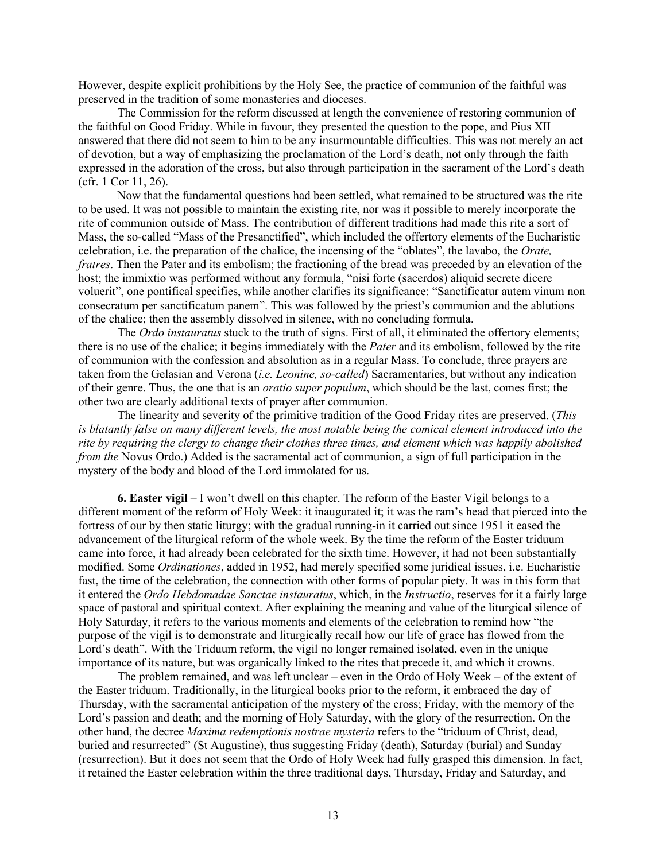However, despite explicit prohibitions by the Holy See, the practice of communion of the faithful was preserved in the tradition of some monasteries and dioceses.

The Commission for the reform discussed at length the convenience of restoring communion of the faithful on Good Friday. While in favour, they presented the question to the pope, and Pius XII answered that there did not seem to him to be any insurmountable difficulties. This was not merely an act of devotion, but a way of emphasizing the proclamation of the Lord's death, not only through the faith expressed in the adoration of the cross, but also through participation in the sacrament of the Lord's death (cfr. 1 Cor 11, 26).

Now that the fundamental questions had been settled, what remained to be structured was the rite to be used. It was not possible to maintain the existing rite, nor was it possible to merely incorporate the rite of communion outside of Mass. The contribution of different traditions had made this rite a sort of Mass, the so-called "Mass of the Presanctified", which included the offertory elements of the Eucharistic celebration, i.e. the preparation of the chalice, the incensing of the "oblates", the lavabo, the *Orate, fratres*. Then the Pater and its embolism; the fractioning of the bread was preceded by an elevation of the host; the immixtio was performed without any formula, "nisi forte (sacerdos) aliquid secrete dicere voluerit", one pontifical specifies, while another clarifies its significance: "Sanctificatur autem vinum non consecratum per sanctificatum panem". This was followed by the priest's communion and the ablutions of the chalice; then the assembly dissolved in silence, with no concluding formula.

The *Ordo instauratus* stuck to the truth of signs. First of all, it eliminated the offertory elements; there is no use of the chalice; it begins immediately with the *Pater* and its embolism, followed by the rite of communion with the confession and absolution as in a regular Mass. To conclude, three prayers are taken from the Gelasian and Verona (*i.e. Leonine, so-called*) Sacramentaries, but without any indication of their genre. Thus, the one that is an *oratio super populum*, which should be the last, comes first; the other two are clearly additional texts of prayer after communion.

The linearity and severity of the primitive tradition of the Good Friday rites are preserved. (*This is blatantly false on many different levels, the most notable being the comical element introduced into the rite by requiring the clergy to change their clothes three times, and element which was happily abolished from the* Novus Ordo.) Added is the sacramental act of communion, a sign of full participation in the mystery of the body and blood of the Lord immolated for us.

**6. Easter vigil** – I won't dwell on this chapter. The reform of the Easter Vigil belongs to a different moment of the reform of Holy Week: it inaugurated it; it was the ram's head that pierced into the fortress of our by then static liturgy; with the gradual running-in it carried out since 1951 it eased the advancement of the liturgical reform of the whole week. By the time the reform of the Easter triduum came into force, it had already been celebrated for the sixth time. However, it had not been substantially modified. Some *Ordinationes*, added in 1952, had merely specified some juridical issues, i.e. Eucharistic fast, the time of the celebration, the connection with other forms of popular piety. It was in this form that it entered the *Ordo Hebdomadae Sanctae instauratus*, which, in the *Instructio*, reserves for it a fairly large space of pastoral and spiritual context. After explaining the meaning and value of the liturgical silence of Holy Saturday, it refers to the various moments and elements of the celebration to remind how "the purpose of the vigil is to demonstrate and liturgically recall how our life of grace has flowed from the Lord's death". With the Triduum reform, the vigil no longer remained isolated, even in the unique importance of its nature, but was organically linked to the rites that precede it, and which it crowns.

The problem remained, and was left unclear – even in the Ordo of Holy Week – of the extent of the Easter triduum. Traditionally, in the liturgical books prior to the reform, it embraced the day of Thursday, with the sacramental anticipation of the mystery of the cross; Friday, with the memory of the Lord's passion and death; and the morning of Holy Saturday, with the glory of the resurrection. On the other hand, the decree *Maxima redemptionis nostrae mysteria* refers to the "triduum of Christ, dead, buried and resurrected" (St Augustine), thus suggesting Friday (death), Saturday (burial) and Sunday (resurrection). But it does not seem that the Ordo of Holy Week had fully grasped this dimension. In fact, it retained the Easter celebration within the three traditional days, Thursday, Friday and Saturday, and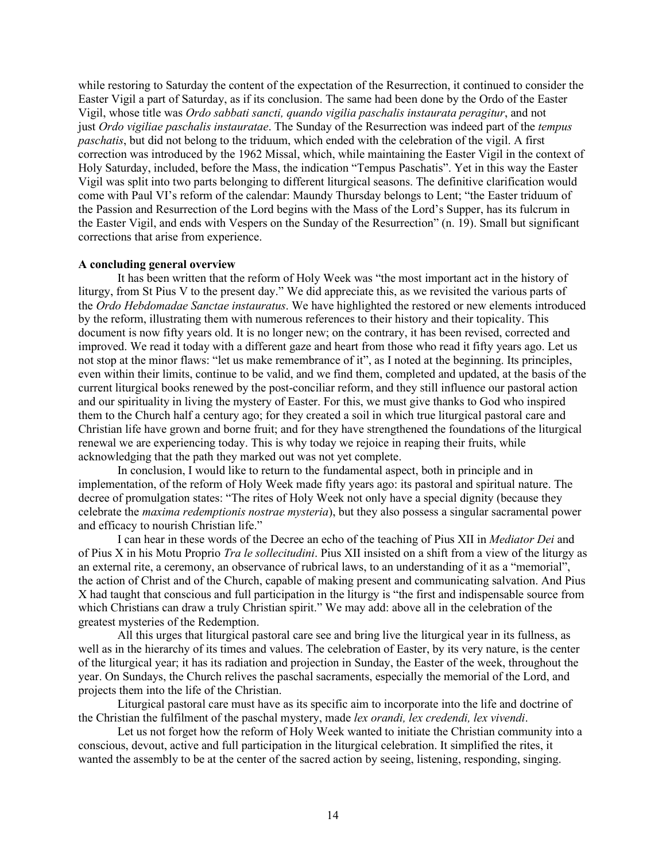while restoring to Saturday the content of the expectation of the Resurrection, it continued to consider the Easter Vigil a part of Saturday, as if its conclusion. The same had been done by the Ordo of the Easter Vigil, whose title was *Ordo sabbati sancti, quando vigilia paschalis instaurata peragitur*, and not just *Ordo vigiliae paschalis instauratae*. The Sunday of the Resurrection was indeed part of the *tempus paschatis*, but did not belong to the triduum, which ended with the celebration of the vigil. A first correction was introduced by the 1962 Missal, which, while maintaining the Easter Vigil in the context of Holy Saturday, included, before the Mass, the indication "Tempus Paschatis". Yet in this way the Easter Vigil was split into two parts belonging to different liturgical seasons. The definitive clarification would come with Paul VI's reform of the calendar: Maundy Thursday belongs to Lent; "the Easter triduum of the Passion and Resurrection of the Lord begins with the Mass of the Lord's Supper, has its fulcrum in the Easter Vigil, and ends with Vespers on the Sunday of the Resurrection" (n. 19). Small but significant corrections that arise from experience.

### **A concluding general overview**

It has been written that the reform of Holy Week was "the most important act in the history of liturgy, from St Pius V to the present day." We did appreciate this, as we revisited the various parts of the *Ordo Hebdomadae Sanctae instauratus*. We have highlighted the restored or new elements introduced by the reform, illustrating them with numerous references to their history and their topicality. This document is now fifty years old. It is no longer new; on the contrary, it has been revised, corrected and improved. We read it today with a different gaze and heart from those who read it fifty years ago. Let us not stop at the minor flaws: "let us make remembrance of it", as I noted at the beginning. Its principles, even within their limits, continue to be valid, and we find them, completed and updated, at the basis of the current liturgical books renewed by the post-conciliar reform, and they still influence our pastoral action and our spirituality in living the mystery of Easter. For this, we must give thanks to God who inspired them to the Church half a century ago; for they created a soil in which true liturgical pastoral care and Christian life have grown and borne fruit; and for they have strengthened the foundations of the liturgical renewal we are experiencing today. This is why today we rejoice in reaping their fruits, while acknowledging that the path they marked out was not yet complete.

In conclusion, I would like to return to the fundamental aspect, both in principle and in implementation, of the reform of Holy Week made fifty years ago: its pastoral and spiritual nature. The decree of promulgation states: "The rites of Holy Week not only have a special dignity (because they celebrate the *maxima redemptionis nostrae mysteria*), but they also possess a singular sacramental power and efficacy to nourish Christian life."

I can hear in these words of the Decree an echo of the teaching of Pius XII in *Mediator Dei* and of Pius X in his Motu Proprio *Tra le sollecitudini*. Pius XII insisted on a shift from a view of the liturgy as an external rite, a ceremony, an observance of rubrical laws, to an understanding of it as a "memorial", the action of Christ and of the Church, capable of making present and communicating salvation. And Pius X had taught that conscious and full participation in the liturgy is "the first and indispensable source from which Christians can draw a truly Christian spirit." We may add: above all in the celebration of the greatest mysteries of the Redemption.

All this urges that liturgical pastoral care see and bring live the liturgical year in its fullness, as well as in the hierarchy of its times and values. The celebration of Easter, by its very nature, is the center of the liturgical year; it has its radiation and projection in Sunday, the Easter of the week, throughout the year. On Sundays, the Church relives the paschal sacraments, especially the memorial of the Lord, and projects them into the life of the Christian.

Liturgical pastoral care must have as its specific aim to incorporate into the life and doctrine of the Christian the fulfilment of the paschal mystery, made *lex orandi, lex credendi, lex vivendi*.

Let us not forget how the reform of Holy Week wanted to initiate the Christian community into a conscious, devout, active and full participation in the liturgical celebration. It simplified the rites, it wanted the assembly to be at the center of the sacred action by seeing, listening, responding, singing.